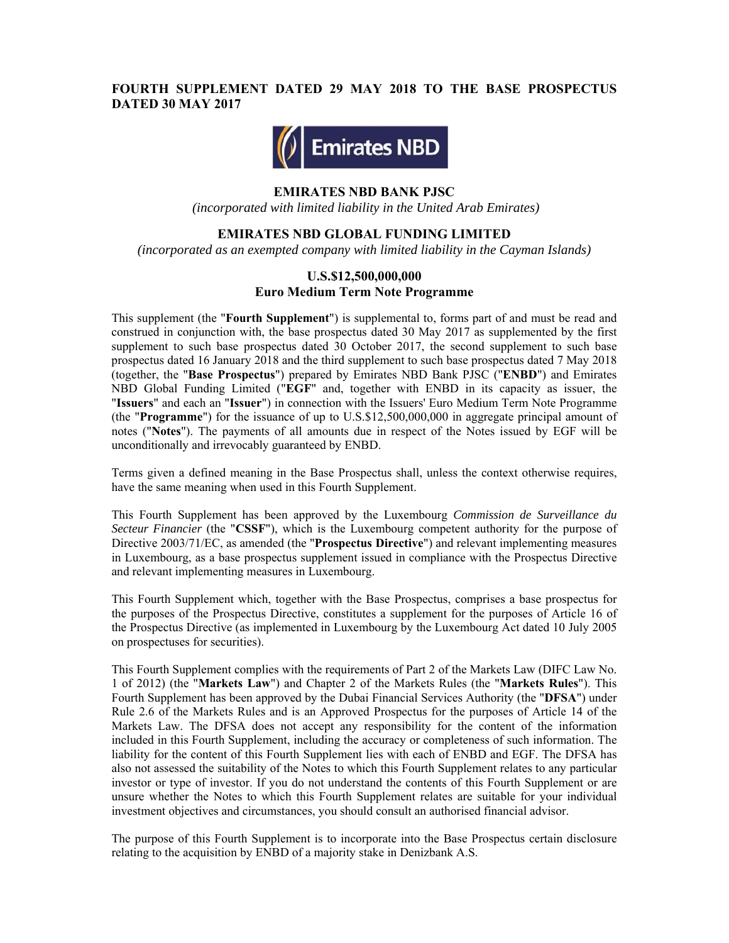# **FOURTH SUPPLEMENT DATED 29 MAY 2018 TO THE BASE PROSPECTUS DATED 30 MAY 2017**



#### **EMIRATES NBD BANK PJSC**

 *(incorporated with limited liability in the United Arab Emirates)* 

#### **EMIRATES NBD GLOBAL FUNDING LIMITED**

*(incorporated as an exempted company with limited liability in the Cayman Islands)* 

#### **U.S.\$12,500,000,000 Euro Medium Term Note Programme**

This supplement (the "**Fourth Supplement**") is supplemental to, forms part of and must be read and construed in conjunction with, the base prospectus dated 30 May 2017 as supplemented by the first supplement to such base prospectus dated 30 October 2017, the second supplement to such base prospectus dated 16 January 2018 and the third supplement to such base prospectus dated 7 May 2018 (together, the "**Base Prospectus**") prepared by Emirates NBD Bank PJSC ("**ENBD**") and Emirates NBD Global Funding Limited ("**EGF**" and, together with ENBD in its capacity as issuer, the "**Issuers**" and each an "**Issuer**") in connection with the Issuers' Euro Medium Term Note Programme (the "**Programme**") for the issuance of up to U.S.\$12,500,000,000 in aggregate principal amount of notes ("**Notes**"). The payments of all amounts due in respect of the Notes issued by EGF will be unconditionally and irrevocably guaranteed by ENBD.

Terms given a defined meaning in the Base Prospectus shall, unless the context otherwise requires, have the same meaning when used in this Fourth Supplement.

This Fourth Supplement has been approved by the Luxembourg *Commission de Surveillance du Secteur Financier* (the "**CSSF**"), which is the Luxembourg competent authority for the purpose of Directive 2003/71/EC, as amended (the "**Prospectus Directive**") and relevant implementing measures in Luxembourg, as a base prospectus supplement issued in compliance with the Prospectus Directive and relevant implementing measures in Luxembourg.

This Fourth Supplement which, together with the Base Prospectus, comprises a base prospectus for the purposes of the Prospectus Directive, constitutes a supplement for the purposes of Article 16 of the Prospectus Directive (as implemented in Luxembourg by the Luxembourg Act dated 10 July 2005 on prospectuses for securities).

This Fourth Supplement complies with the requirements of Part 2 of the Markets Law (DIFC Law No. 1 of 2012) (the "**Markets Law**") and Chapter 2 of the Markets Rules (the "**Markets Rules**"). This Fourth Supplement has been approved by the Dubai Financial Services Authority (the "**DFSA**") under Rule 2.6 of the Markets Rules and is an Approved Prospectus for the purposes of Article 14 of the Markets Law. The DFSA does not accept any responsibility for the content of the information included in this Fourth Supplement, including the accuracy or completeness of such information. The liability for the content of this Fourth Supplement lies with each of ENBD and EGF. The DFSA has also not assessed the suitability of the Notes to which this Fourth Supplement relates to any particular investor or type of investor. If you do not understand the contents of this Fourth Supplement or are unsure whether the Notes to which this Fourth Supplement relates are suitable for your individual investment objectives and circumstances, you should consult an authorised financial advisor.

The purpose of this Fourth Supplement is to incorporate into the Base Prospectus certain disclosure relating to the acquisition by ENBD of a majority stake in Denizbank A.S.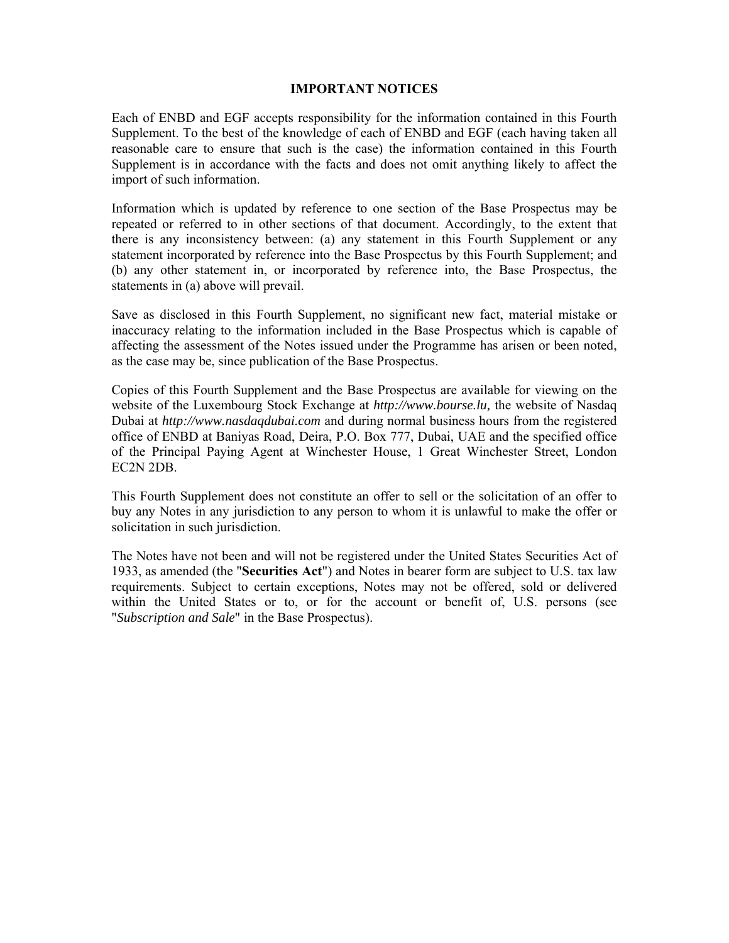### **IMPORTANT NOTICES**

Each of ENBD and EGF accepts responsibility for the information contained in this Fourth Supplement. To the best of the knowledge of each of ENBD and EGF (each having taken all reasonable care to ensure that such is the case) the information contained in this Fourth Supplement is in accordance with the facts and does not omit anything likely to affect the import of such information.

Information which is updated by reference to one section of the Base Prospectus may be repeated or referred to in other sections of that document. Accordingly, to the extent that there is any inconsistency between: (a) any statement in this Fourth Supplement or any statement incorporated by reference into the Base Prospectus by this Fourth Supplement; and (b) any other statement in, or incorporated by reference into, the Base Prospectus, the statements in (a) above will prevail.

Save as disclosed in this Fourth Supplement, no significant new fact, material mistake or inaccuracy relating to the information included in the Base Prospectus which is capable of affecting the assessment of the Notes issued under the Programme has arisen or been noted, as the case may be, since publication of the Base Prospectus.

Copies of this Fourth Supplement and the Base Prospectus are available for viewing on the website of the Luxembourg Stock Exchange at *http://www.bourse.lu,* the website of Nasdaq Dubai at *http://www.nasdaqdubai.com* and during normal business hours from the registered office of ENBD at Baniyas Road, Deira, P.O. Box 777, Dubai, UAE and the specified office of the Principal Paying Agent at Winchester House, 1 Great Winchester Street, London EC2N 2DB.

This Fourth Supplement does not constitute an offer to sell or the solicitation of an offer to buy any Notes in any jurisdiction to any person to whom it is unlawful to make the offer or solicitation in such jurisdiction.

The Notes have not been and will not be registered under the United States Securities Act of 1933, as amended (the "**Securities Act**") and Notes in bearer form are subject to U.S. tax law requirements. Subject to certain exceptions, Notes may not be offered, sold or delivered within the United States or to, or for the account or benefit of, U.S. persons (see "*Subscription and Sale*" in the Base Prospectus).